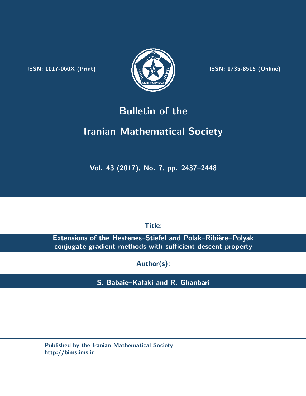.



**ISSN:** 1017-060X (Print)  $\left\{\begin{matrix} \frac{1}{2} & \frac{1}{2} & \frac{1}{2} \\ \frac{1}{2} & \frac{1}{2} & \frac{1}{2} \end{matrix}\right\}$  ISSN: 1735-8515 (Online)

# **Bulletin of the**

# **Iranian Mathematical Society**

**Vol. 43 (2017), No. 7, pp. 2437–2448**

**Title:**

**Extensions of the Hestenes-Stiefel and Polak-Ribière-Polyak conjugate gradient methods with sufficient descent property**

**Author(s):**

**S. Babaie–Kafaki and R. Ghanbari**

**Published by the Iranian Mathematical Society http://bims.ims.ir**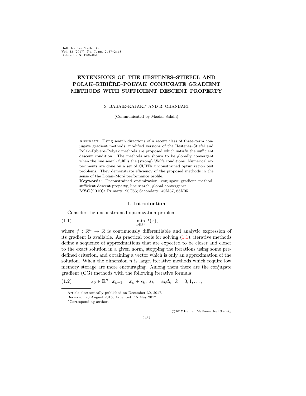Bull. Iranian Math. Soc. Vol. 43 (2017), No. 7, pp. 2437–2448 Online ISSN: 1735-8515

# **EXTENSIONS OF THE HESTENES–STIEFEL AND POLAK–RIBIERE–POLYAK CONJUGATE GRADIENT ` METHODS WITH SUFFICIENT DESCENT PROPERTY**

S. BABAIE–KAFAKI*∗* AND R. GHANBARI

(Communicated by Maziar Salahi)

ABSTRACT. Using search directions of a recent class of three–term conjugate gradient methods, modified versions of the Hestenes–Stiefel and Polak–Ribière–Polyak methods are proposed which satisfy the sufficient descent condition. The methods are shown to be globally convergent when the line search fulfills the (strong) Wolfe conditions. Numerical experiments are done on a set of CUTEr unconstrained optimization test problems. They demonstrate efficiency of the proposed methods in the sense of the Dolan–Moré performance profile.

**Keywords:** Unconstrained optimization, conjugate gradient method, sufficient descent property, line search, global convergence. **MSC(2010):** Primary: 90C53; Secondary: 49M37, 65K05.

## <span id="page-1-0"></span>1. **Introduction**

<span id="page-1-1"></span>Consider the unconstrained optimization problem

$$
\min_{x \in \mathbb{R}^n} f(x),
$$

where  $f : \mathbb{R}^n \to \mathbb{R}$  is continuously differentiable and analytic expression of its gradient is available. As practical tools for solving ([1.1\)](#page-1-0), iterative methods define a sequence of approximations that are expected to be closer and closer to the exact solution in a given norm, stopping the iterations using some predefined criterion, and obtaining a vector which is only an approximation of the solution. When the dimension *n* is large, iterative methods which require low memory storage are more encouraging. Among them there are the conjugate gradient (CG) methods with the following iterative formula:

(1.2)  $x_0 \in \mathbb{R}^n$ ,  $x_{k+1} = x_k + s_k$ ,  $s_k = \alpha_k d_k$ ,  $k = 0, 1, \ldots$ ,

*⃝*c 2017 Iranian Mathematical Society

2437

<span id="page-1-2"></span>Article electronically published on December 30, 2017.

Received: 23 August 2016, Accepted: 15 May 2017.

*<sup>∗</sup>*Corresponding author.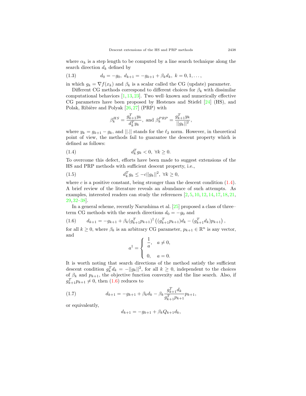where  $\alpha_k$  is a step length to be computed by a line search technique along the search direction  $d_k$  defined by

<span id="page-2-4"></span>
$$
(1.3) \t d_0 = -g_0, \ d_{k+1} = -g_{k+1} + \beta_k d_k, \ k = 0, 1, \ldots,
$$

in which  $g_k = \nabla f(x_k)$  and  $\beta_k$  is a scalar called the CG (update) parameter.

Different CG methods correspond to different choices for  $\beta_k$  with dissimilar computational behaviors  $[1, 13, 23]$  $[1, 13, 23]$  $[1, 13, 23]$  $[1, 13, 23]$  $[1, 13, 23]$  $[1, 13, 23]$ . Two well–known and numerically effective CG parameters have been proposed by Hestenes and Stiefel [[24\]](#page-11-2) (HS), and Polak, Ribière and Polyak  $[26, 27]$  $[26, 27]$  $[26, 27]$  $[26, 27]$  $[26, 27]$  (PRP) with

<span id="page-2-0"></span>
$$
\beta_k^{HS} = \frac{g_{k+1}^T y_k}{d_k^T y_k}
$$
, and  $\beta_k^{PRP} = \frac{g_{k+1}^T y_k}{||g_k||^2}$ ,

where  $y_k = g_{k+1} - g_k$ , and  $||.||$  stands for the  $\ell_2$  norm. However, in theoretical point of view, the methods fail to guarantee the descent property which is defined as follows:

$$
(1.4) \t d_k^T g_k < 0, \ \forall k \ge 0.
$$

To overcome this defect, efforts have been made to suggest extensions of the HS and PRP methods with sufficient descent property, i.e.,

<span id="page-2-3"></span>(1.5) 
$$
d_k^T g_k \le -c||g_k||^2, \ \forall k \ge 0,
$$

where  $c$  is a positive constant, being stronger than the descent condition  $(1.4)$  $(1.4)$ . A brief review of the literature reveals an abundance of such attempts. As examples, interested readers can study the references [[2,](#page-10-1) [5,](#page-10-2) [10,](#page-11-5) [12,](#page-11-6) [14](#page-11-7), [17](#page-11-8), [18](#page-11-9), [21](#page-11-10), [29](#page-11-11), [32](#page-12-0)[–38](#page-12-1)].

In a general scheme, recently Narushima et al. [[25](#page-11-12)] proposed a class of three– term CG methods with the search directions  $d_0 = -g_0$  and

<span id="page-2-1"></span>
$$
(1.6) \t d_{k+1} = -g_{k+1} + \beta_k (g_{k+1}^T p_{k+1})^{\dagger} \left( (g_{k+1}^T p_{k+1}) d_k - (g_{k+1}^T d_k) p_{k+1} \right),
$$

for all  $k \geq 0$ , where  $\beta_k$  is an arbitrary CG parameter,  $p_{k+1} \in \mathbb{R}^n$  is any vector, and

$$
a^{\dagger} = \begin{cases} \frac{1}{a}, & a \neq 0, \\ 0, & a = 0. \end{cases}
$$

It is worth noting that search directions of the method satisfy the sufficient descent condition  $g_k^T d_k = -||g_k||^2$ , for all  $k \geq 0$ , independent to the choices of  $\beta_k$  and  $p_{k+1}$ , the objective function convexity and the line search. Also, if  $g_{k+1}^T p_{k+1} \neq 0$ , then  $(1.6)$  $(1.6)$  $(1.6)$  reduces to

(1.7) 
$$
d_{k+1} = -g_{k+1} + \beta_k d_k - \beta_k \frac{g_{k+1}^T d_k}{g_{k+1}^T p_{k+1}},
$$

or equivalently,

<span id="page-2-2"></span>
$$
d_{k+1} = -g_{k+1} + \beta_k Q_{k+1} d_k,
$$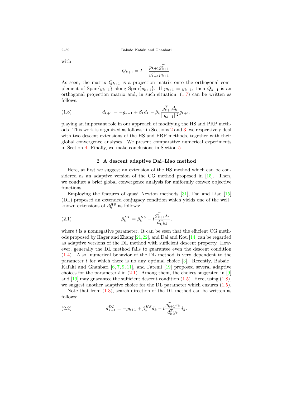with

$$
Q_{k+1} = I - \frac{p_{k+1}g_{k+1}^T}{g_{k+1}^T p_{k+1}}.
$$

As seen, the matrix  $Q_{k+1}$  is a projection matrix onto the orthogonal complement of  $\text{Span}\{g_{k+1}\}\$ along  $\text{Span}\{p_{k+1}\}\$ . If  $p_{k+1} = g_{k+1}$ , then  $Q_{k+1}$  is an orthogonal projection matrix and, in such situation, ([1.7\)](#page-2-2) can be written as follows:

<span id="page-3-2"></span>(1.8) 
$$
d_{k+1} = -g_{k+1} + \beta_k d_k - \beta_k \frac{g_{k+1}^T d_k}{||g_{k+1}||^2} g_{k+1},
$$

playing an important role in our approach of modifying the HS and PRP methods. This work is organized as follows: in Sections [2](#page-3-0) and [3](#page-6-0), we respectively deal with two descent extensions of the HS and PRP methods, together with their global convergence analyses. We present comparative numerical experiments in Section [4](#page-8-0). Finally, we make conclusions in Section [5.](#page-9-0)

#### 2. **A descent adaptive Dai–Liao method**

<span id="page-3-0"></span>Here, at first we suggest an extension of the HS method which can be considered as an adaptive version of the CG method proposed in [\[15](#page-11-13)]. Then, we conduct a brief global convergence analysis for uniformly convex objective functions.

Employing the features of quasi–Newton methods [\[31](#page-12-2)], Dai and Liao [\[15](#page-11-13)] (DL) proposed an extended conjugacy condition which yields one of the well– known extensions of  $\beta_k^{HS}$  as follows:

<span id="page-3-1"></span>(2.1) 
$$
\beta_k^{DL} = \beta_k^{HS} - t \frac{g_{k+1}^T s_k}{d_k^T y_k},
$$

where  $t$  is a nonnegative parameter. It can be seen that the efficient  $CG$  methods proposed by Hager and Zhang [\[21](#page-11-10),[22](#page-11-14)], and Dai and Kou [[14\]](#page-11-7) can be regarded as adaptive versions of the DL method with sufficient descent property. However, generally the DL method fails to guarantee even the descent condition ([1.4\)](#page-2-0). Also, numerical behavior of the DL method is very dependent to the parameter  $t$  for which there is no any optimal choice  $[3]$  $[3]$ . Recently, Babaie– Kafaki and Ghanbari  $[6, 7, 9, 11]$  $[6, 7, 9, 11]$  $[6, 7, 9, 11]$  $[6, 7, 9, 11]$  $[6, 7, 9, 11]$  $[6, 7, 9, 11]$  $[6, 7, 9, 11]$  $[6, 7, 9, 11]$ , and Fatemi  $[19]$  $[19]$  proposed several adaptive choices for the parameter  $t$  in  $(2.1)$  $(2.1)$ . Among them, the choices suggested in [\[9](#page-11-15)] and  $[19]$  $[19]$  $[19]$  may guarantee the sufficient descent condition  $(1.5)$  $(1.5)$ . Here, using  $(1.8)$  $(1.8)$ , we suggest another adaptive choice for the DL parameter which ensures ([1.5\)](#page-2-3).

Note that from  $(1.3)$  $(1.3)$  $(1.3)$ , search direction of the DL method can be written as follows:

<span id="page-3-3"></span>(2.2) 
$$
d_{k+1}^{DL} = -g_{k+1} + \beta_k^{HS} d_k - t \frac{g_{k+1}^T s_k}{d_k^T y_k} d_k.
$$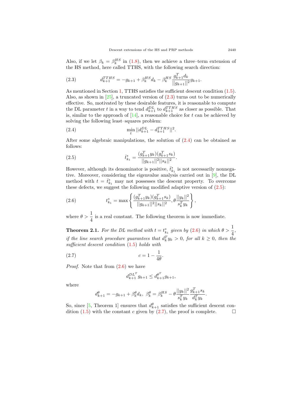Also, if we let  $\beta_k = \beta_k^{HS}$  in [\(1.8](#page-3-2)), then we achieve a three–term extension of the HS method, here called TTHS, with the following search direction:

<span id="page-4-0"></span>(2.3) 
$$
d_{k+1}^{TTHS} = -g_{k+1} + \beta_k^{HS} d_k - \beta_k^{HS} \frac{g_{k+1}^T d_k}{||g_{k+1}||^2} g_{k+1}.
$$

As mentioned in Section [1](#page-1-1), TTHS satisfies the sufficient descent condition ([1.5\)](#page-2-3). Also, as shown in [\[25](#page-11-12)], a truncated version of  $(2.3)$  $(2.3)$  $(2.3)$  turns out to be numerically effective. So, motivated by these desirable features, it is reasonable to compute the DL parameter *t* in a way to tend  $d_{k+1}^{DL}$  to  $d_{k+1}^{TTHS}$  as closer as possible. That is, similar to the approach of  $[14]$  $[14]$ , a reasonable choice for  $t$  can be achieved by solving the following least–squares problem:

(2.4) 
$$
\min_t ||d_{k+1}^{DL} - d_{k+1}^{TTHS}||^2.
$$

After some algebraic manipulations, the solution of  $(2.4)$  $(2.4)$  can be obtained as follows:

<span id="page-4-2"></span><span id="page-4-1"></span>*.*

(2.5) 
$$
\bar{t}_{k_1}^* = \frac{(g_{k+1}^T y_k)(g_{k+1}^T s_k)}{||g_{k+1}||^2||s_k||^2}
$$

However, although its denominator is positive,  $\bar{t}^*_{k_1}$  is not necessarily nonnegative. Moreover, considering the eigenvalue analysis carried out in [\[9](#page-11-15)], the DL method with  $t = \bar{t}_{k_1}^*$  may not possesses the descent property. To overcome these defects, we suggest the following modified adaptive version of  $(2.5)$  $(2.5)$ :

<span id="page-4-3"></span>(2.6) 
$$
t_{k_1}^* = \max \left\{ \frac{(g_{k+1}^T y_k)(g_{k+1}^T s_k)}{||g_{k+1}||^2||s_k||^2}, \theta \frac{||y_k||^2}{s_k^T y_k} \right\},
$$

where  $\theta > \frac{1}{4}$  is a real constant. The following theorem is now immediate.

<span id="page-4-5"></span>**Theorem 2.1.** For the DL method with  $t = t_{k_1}^*$  given by [\(2.6](#page-4-3)) in which  $\theta > \frac{1}{4}$ , *if the line search procedure guarantees that*  $d_k^T y_k > 0$ , for all  $k \geq 0$ , then the *sufficient descent condition* [\(1.5\)](#page-2-3) *holds with*

(2.7) 
$$
c = 1 - \frac{1}{4\theta}.
$$

*Proof.* Note that from [\(2.6](#page-4-3)) we have

<span id="page-4-4"></span>
$$
d_{k+1}^{DL^T} g_{k+1} \le d_{k+1}^{\theta^T} g_{k+1},
$$

where

$$
d_{k+1}^\theta=-g_{k+1}+\beta_k^\theta d_k,\ \beta_k^\theta=\beta_k^{HS}-\theta\frac{||y_k||^2}{s_k^Ty_k}\frac{g_{k+1}^Ts_k}{d_k^Ty_k}.
$$

So, since [\[5](#page-10-2), Theorem 1] ensures that  $d_{k+1}^{\theta}$  satisfies the sufficient descent condition  $(1.5)$  $(1.5)$  $(1.5)$  with the constant *c* given by  $(2.7)$ , the proof is complete.  $\Box$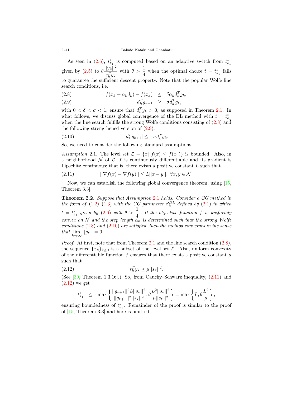As seen in [\(2.6](#page-4-3)),  $t_{k_1}^*$  is computed based on an adaptive switch from  $\bar{t}_{k_1}^*$ given by  $(2.5)$  $(2.5)$  $(2.5)$  to  $\theta \frac{||y_k||^2}{T}$  $\frac{|y_k||^2}{s_k^Ty_k}$  with  $\theta > \frac{1}{4}$  when the optimal choice  $t = \bar{t}^*_{k_1}$  fails to guarantee the sufficient descent property. Note that the popular Wolfe line search conditions, i.e.

<span id="page-5-0"></span>(2.8) 
$$
f(x_k + \alpha_k d_k) - f(x_k) \leq \delta \alpha_k d_k^T g_k,
$$

$$
(2.9) \t d_k^T g_{k+1} \geq \sigma d_k^T g_k,
$$

with  $0 < \delta < \sigma < 1$ , ensure that  $d_k^T y_k > 0$ , as supposed in Theorem [2.1](#page-4-5). In what follows, we discuss global convergence of the DL method with  $t = t_{k_1}^*$ when the line search fulfills the strong Wolfe conditions consisting of  $(2.8)$  $(2.8)$  and the following strengthened version of ([2.9](#page-5-0)):

<span id="page-5-2"></span>
$$
(2.10) \t\t |d_k^T g_{k+1}| \le -\sigma d_k^T g_k.
$$

So, we need to consider the following standard assumptions.

<span id="page-5-1"></span>*Assumption* 2.1. The level set  $\mathcal{L} = \{x | f(x) \leq f(x_0) \}$  is bounded. Also, in a neighborhood  $N$  of  $\mathcal{L}$ ,  $f$  is continuously differentiable and its gradient is Lipschitz continuous; that is, there exists a positive constant *L* such that

<span id="page-5-3"></span>
$$
(2.11) \t\t ||\nabla f(x) - \nabla f(y)|| \le L||x - y||, \; \forall x, y \in \mathcal{N}.
$$

Now, we can establish the following global convergence theorem, using [\[15](#page-11-13), Theorem 3.3].

**Theorem 2.2.** *Suppose that Assumption* [2.1](#page-5-1) *holds. Consider a CG method in the form of*  $(1.2)-(1.3)$  $(1.2)-(1.3)$  $(1.2)-(1.3)$  $(1.2)-(1.3)$  $(1.2)-(1.3)$  *with the CG parameter*  $\beta_k^{DL}$  *defined by*  $(2.1)$  *in which*  $t = t_{k_1}^*$  given by ([2.6](#page-4-3)) with  $\theta > \frac{1}{4}$ . If the objective function f is uniformly *convex on*  $N$  *and the step length*  $\alpha_k$  *is determined such that the strong Wolfe conditions* ([2.8](#page-5-0)) *and* ([2.10](#page-5-2)) *are satisfied, then the method converges in the sense that* lim  $\lim_{k\to\infty}$   $||g_k|| = 0.$ 

*Proof.* At first, note that from Theorem [2.1](#page-4-5) and the line search condition  $(2.8)$  $(2.8)$ , the sequence  $\{x_k\}_{k>0}$  is a subset of the level set *L*. Also, uniform convexity of the differentiable function  $f$  ensures that there exists a positive constant  $\mu$ such that

(2.12) 
$$
s_k^T y_k \ge \mu ||s_k||^2.
$$

(See [\[30](#page-12-3), Theorem 1.3.16].) So, from Cauchy–Schwarz inequality, [\(2.11](#page-5-3)) and ([2.12\)](#page-5-4) we get

<span id="page-5-4"></span>
$$
t_{k_1}^* \quad \leq \quad \max \left\{ \frac{||g_{k+1}||^2L||s_k||^2}{||g_{k+1}||^2||s_k||^2}, \theta \frac{L^2||s_k||^2}{\mu ||s_k||^2} \right\} = \max \left\{ L, \theta \frac{L^2}{\mu} \right\},
$$

ensuring boundedness of  $t_{k_1}^*$ . Remainder of the proof is similar to the proof of  $[15,$  $[15,$  Theorem 3.3] and here is omitted.  $□$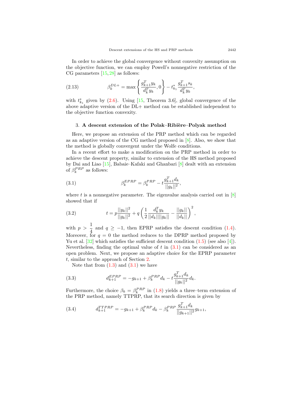In order to achieve the global convergence without convexity assumption on the objective function, we can employ Powell's nonnegative restriction of the CG parameters  $[15, 28]$  $[15, 28]$  $[15, 28]$  $[15, 28]$  as follows:

(2.13) 
$$
\beta_k^{DL+} = \max \left\{ \frac{g_{k+1}^T y_k}{d_k^T y_k}, 0 \right\} - t_{k_1}^* \frac{g_{k+1}^T s_k}{d_k^T y_k},
$$

with  $t_{k_1}^*$  given by  $(2.6)$ . Using  $[15,$  $[15,$  Theorem 3.6, global convergence of the above adaptive version of the DL+ method can be established independent to the objective function convexity.

#### <span id="page-6-0"></span>3. A descent extension of the Polak–Ribiere–Polyak method

Here, we propose an extension of the PRP method which can be regarded as an adaptive version of the CG method proposed in [[8\]](#page-11-19). Also, we show that the method is globally convergent under the Wolfe conditions.

In a recent effort to make a modification on the PRP method in order to achieve the descent property, similar to extension of the HS method proposed by Dai and Liao [\[15](#page-11-13)], Babaie–Kafaki and Ghanbari [[8\]](#page-11-19) dealt with an extension of  $\beta_k^{PRP}$  as follows:

<span id="page-6-1"></span>(3.1) 
$$
\beta_k^{EPRP} = \beta_k^{PRP} - t \frac{g_{k+1}^T d_k}{||g_k||^2},
$$

where  $t$  is a nonnegative parameter. The eigenvalue analysis carried out in  $[8]$  $[8]$  $[8]$ showed that if

<span id="page-6-3"></span>(3.2) 
$$
t = p \frac{||y_k||^2}{||g_k||^2} + q \left( \frac{1}{2} \frac{d_k^T y_k}{||d_k|| ||g_k||} - \frac{||g_k||}{||d_k||} \right)^2,
$$

with  $p > \frac{1}{4}$  $\frac{1}{4}$  and  $q \geq -1$ , then EPRP satisfies the descent condition ([1.4\)](#page-2-0). Moreover, for  $q = 0$  the method reduces to the DPRP method proposed by Yu et al.  $[32]$  $[32]$  which satisfies the sufficient descent condition  $(1.5)$  $(1.5)$  (see also [[4\]](#page-10-6)). Nevertheless, finding the optimal value of  $t$  in  $(3.1)$  can be considered as an open problem. Next, we propose an adaptive choice for the EPRP parameter *t*, similar to the approach of Section [2.](#page-3-0)

<span id="page-6-4"></span>Note that from  $(1.3)$  and  $(3.1)$  $(3.1)$  we have

(3.3) 
$$
d_{k+1}^{EPRP} = -g_{k+1} + \beta_k^{PRP} d_k - t \frac{g_{k+1}^T d_k}{||g_k||^2} d_k.
$$

Furthermore, the choice  $\beta_k = \beta_k^{PRP}$  in ([1.8\)](#page-3-2) yields a three–term extension of the PRP method, namely TTPRP, that its search direction is given by

 $\overline{f}$ 

<span id="page-6-2"></span>(3.4) 
$$
d_{k+1}^{TTPRP} = -g_{k+1} + \beta_k^{PRP} d_k - \beta_k^{PRP} \frac{g_{k+1}^T d_k}{||g_{k+1}||^2} g_{k+1},
$$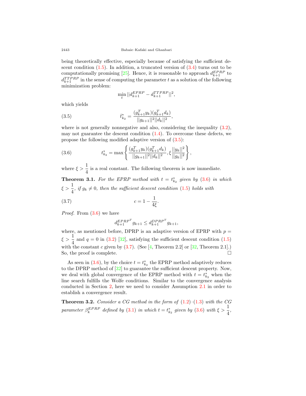being theoretically effective, especially because of satisfying the sufficient descent condition  $(1.5)$  $(1.5)$ . In addition, a truncated version of  $(3.4)$  $(3.4)$  turns out to be computationally promising [\[25](#page-11-12)]. Hence, it is reasonable to approach  $d_{k+1}^{EPRP}$  to  $d_{k+1}^{TTPRP}$  in the sense of computing the parameter *t* as a solution of the following minimization problem:

<span id="page-7-0"></span>
$$
\min_t ||d_{k+1}^{EPRP} - d_{k+1}^{TTPRP}||^2,
$$

which yields

(3.5) 
$$
\bar{t}_{k_2}^* = \frac{(g_{k+1}^T y_k)(g_{k+1}^T d_k)}{||g_{k+1}||^2||d_k||^2},
$$

where is not generally nonnegative and also, considering the inequality  $(3.2)$  $(3.2)$ , may not guarantee the descent condition  $(1.4)$  $(1.4)$ . To overcome these defects, we propose the following modified adaptive version of [\(3.5](#page-7-0)):

<span id="page-7-1"></span>(3.6) 
$$
t_{k_2}^* = \max \left\{ \frac{(g_{k+1}^T y_k)(g_{k+1}^T d_k)}{||g_{k+1}||^2||d_k||^2}, \xi \frac{||y_k||^2}{||g_k||^2} \right\},
$$

where  $\xi > \frac{1}{4}$  is a real constant. The following theorem is now immediate.

<span id="page-7-3"></span>**Theorem 3.1.** For the EPRP method with  $t = t_{k_2}^*$  given by  $(3.6)$  $(3.6)$  $(3.6)$  in which  $\xi > \frac{1}{4}$ , *if*  $g_k \neq 0$ , then the sufficient descent condition ([1.5\)](#page-2-3) *holds with* 

<span id="page-7-2"></span>*.*

(3.7) 
$$
c = 1 - \frac{1}{4\xi}
$$

*Proof.* From [\(3.6](#page-7-1)) we have

$$
d_{k+1}^{EPRP^{T}} g_{k+1} \leq d_{k+1}^{DPRP^{T}} g_{k+1},
$$

where, as mentioned before, DPRP is an adaptive version of EPRP with  $p =$  $\xi > \frac{1}{4}$  and  $q = 0$  in ([3.2](#page-6-3)) [[32\]](#page-12-0), satisfying the sufficient descent condition ([1.5](#page-2-3)) with the constant *c* given by  $(3.7)$  $(3.7)$ . (See [[4,](#page-10-6) Theorem 2.2] or [[32,](#page-12-0) Theorem 2.1].) So, the proof is complete.  $\Box$ 

As seen in ([3.6](#page-7-1)), by the choice  $t = t_{k_2}^*$  the EPRP method adaptively reduces to the DPRP method of [\[32](#page-12-0)] to guarantee the sufficient descent property. Now, we deal with global convergence of the EPRP method with  $t = t_{k_2}^*$  when the line search fulfills the Wolfe conditions. Similar to the convergence analysis conducted in Section [2,](#page-3-0) here we need to consider Assumption [2.1](#page-5-1) in order to establish a convergence result.

**Theorem 3.2.** *Consider a CG method in the form of* [\(1.2](#page-1-2))*–*([1.3\)](#page-2-4) *with the CG parameter*  $\beta_k^{EPRP}$  *defined by* [\(3.1\)](#page-6-1) *in which*  $t = t_{k_2}^*$  *given by* ([3.6\)](#page-7-1) *with*  $\xi > \frac{1}{4}$ ,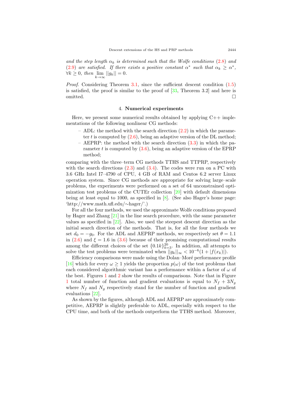*and the step length*  $\alpha_k$  *is determined such that the Wolfe conditions* [\(2.8\)](#page-5-0) *and*  $(2.9)$  $(2.9)$  *are satisfied.* If there exists a positive constant  $\alpha^*$  such that  $\alpha_k \geq \alpha^*$ , *∀k*  $\geq 0$ *, then*  $\lim_{k \to \infty} ||g_k|| = 0$ *.* 

*Proof.* Considering Theorem [3.1,](#page-7-3) since the sufficient descent condition  $(1.5)$  $(1.5)$  $(1.5)$ is satisfied, the proof is similar to the proof of  $[33,$  $[33,$  Theorem 3.2 and here is omitted.  $\Box$ 

#### 4. **Numerical experiments**

<span id="page-8-0"></span>Here, we present some numerical results obtained by applying  $C++$  implementations of the following nonlinear CG methods:

- ADL: the method with the search direction  $(2.2)$  $(2.2)$  in which the parameter *t* is computed by [\(2.6\)](#page-4-3), being an adaptive version of the DL method;
- AEPRP: the method with the search direction ([3.3](#page-6-4)) in which the parameter *t* is computed by ([3.6\)](#page-7-1), being an adaptive version of the EPRP method;

comparing with the three–term CG methods TTHS and TTPRP, respectively with the search directions  $(2.3)$  $(2.3)$  and  $(3.4)$ . The codes were run on a PC with 3.6 GHz Intel I7–4790 of CPU, 4 GB of RAM and Centos 6.2 server Linux operation system. Since CG methods are appropriate for solving large–scale problems, the experiments were performed on a set of 64 unconstrained optimization test problems of the CUTEr collection [[20\]](#page-11-20) with default dimensions being at least equal to 1000, as specified in [[8\]](#page-11-19). (See also Hager's home page: 'http://www.math.ufl.edu/*∼*hager/'.)

For all the four methods, we used the approximate Wolfe conditions proposed by Hager and Zhang  $[21]$  $[21]$  in the line search procedure, with the same parameter values as specified in [\[22](#page-11-14)]. Also, we used the steepest descent direction as the initial search direction of the methods. That is, for all the four methods we set  $d_0 = -g_0$ . For the ADL and AEPRP methods, we respectively set  $\theta = 1.1$ in  $(2.6)$  $(2.6)$  and  $\xi = 1.6$  in  $(3.6)$  $(3.6)$  $(3.6)$  because of their promising computational results among the different choices of the set  $\{0.1k\}_{k=3}^{20}$ . In addition, all attempts to solve the test problems were terminated when  $||g_k||_{\infty} < 10^{-6}(1 + |f(x_k)|)$ .

Efficiency comparisons were made using the Dolan–Moré performance profile [[16\]](#page-11-21) which for every  $\omega \ge 1$  yields the proportion  $p(\omega)$  of the test problems that each considered algorithmic variant has a performance within a factor of  $\omega$  of the best. Figures [1](#page-9-1) and [2](#page-10-7) show the results of comparisons. Note that in Figure [1](#page-9-1) total number of function and gradient evaluations is equal to  $N_f + 3N_g$ where  $N_f$  and  $N_g$  respectively stand for the number of function and gradient evaluations [[22\]](#page-11-14).

As shown by the figures, although ADL and AEPRP are approximately competitive, AEPRP is slightly preferable to ADL, especially with respect to the CPU time, and both of the methods outperform the TTHS method. Moreover,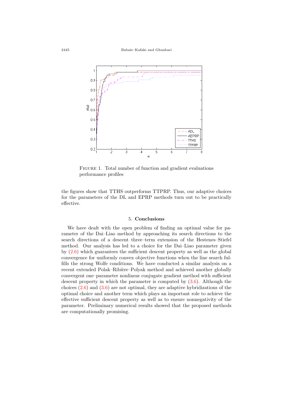

<span id="page-9-1"></span>FIGURE 1. Total number of function and gradient evaluations performance profiles

the figures show that TTHS outperforms TTPRP. Thus, our adaptive choices for the parameters of the DL and EPRP methods turn out to be practically effective.

#### 5. **Conclusions**

<span id="page-9-0"></span>We have dealt with the open problem of finding an optimal value for parameter of the Dai–Liao method by approaching its search directions to the search directions of a descent three–term extension of the Hestenes–Stiefel method. Our analysis has led to a choice for the Dai–Liao parameter given by ([2.6\)](#page-4-3) which guarantees the sufficient descent property as well as the global convergence for uniformly convex objective functions when the line search fulfills the strong Wolfe conditions. We have conducted a similar analysis on a recent extended Polak–Ribière–Polyak method and achieved another globally convergent one–parameter nonlinear conjugate gradient method with sufficient descent property in which the parameter is computed by  $(3.6)$  $(3.6)$ . Although the choices  $(2.6)$  and  $(3.6)$  $(3.6)$  $(3.6)$  are not optimal, they are adaptive hybridizations of the optimal choice and another term which plays an important role to achieve the effective sufficient descent property as well as to ensure nonnegativity of the parameter. Preliminary numerical results showed that the proposed methods are computationally promising.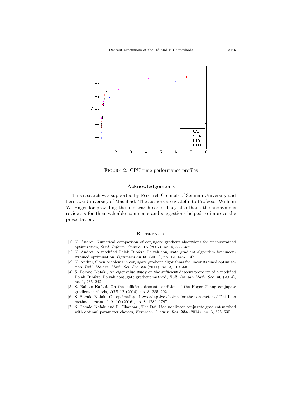

Figure 2. CPU time performance profiles

## <span id="page-10-7"></span>**Acknowledgements**

This research was supported by Research Councils of Semnan University and Ferdowsi University of Mashhad. The authors are grateful to Professor William W. Hager for providing the line search code. They also thank the anonymous reviewers for their valuable comments and suggestions helped to improve the presentation.

### **REFERENCES**

- <span id="page-10-0"></span>[1] N. Andrei, Numerical comparison of conjugate gradient algorithms for unconstrained optimization, *Stud. Inform. Control* **16** (2007), no. 4, 333–352.
- <span id="page-10-1"></span>[2] N. Andrei, A modified Polak–Ribière–Polyak conjugate gradient algorithm for unconstrained optimization, *Optimization* **60** (2011), no. 12, 1457–1471.
- <span id="page-10-3"></span>[3] N. Andrei, Open problems in conjugate gradient algorithms for unconstrained optimization, *Bull. Malays. Math. Sci. Soc.* **34** (2011), no. 2, 319–330.
- <span id="page-10-6"></span>[4] S. Babaie–Kafaki, An eigenvalue study on the sufficient descent property of a modified Polak–Ribi`ere–Polyak conjugate gradient method, *Bull. Iranian Math. Soc.* **40** (2014), no. 1, 235–242.
- <span id="page-10-2"></span>[5] S. Babaie–Kafaki, On the sufficient descent condition of the Hager–Zhang conjugate gradient methods, *4OR* **12** (2014), no. 3, 285–292.
- <span id="page-10-4"></span>[6] S. Babaie–Kafaki, On optimality of two adaptive choices for the parameter of Dai–Liao method, *Optim. Lett.* **10** (2016), no. 8, 1789–1797.
- <span id="page-10-5"></span>[7] S. Babaie–Kafaki and R. Ghanbari, The Dai–Liao nonlinear conjugate gradient method with optimal parameter choices, *European J. Oper. Res.* **234** (2014), no. 3, 625–630.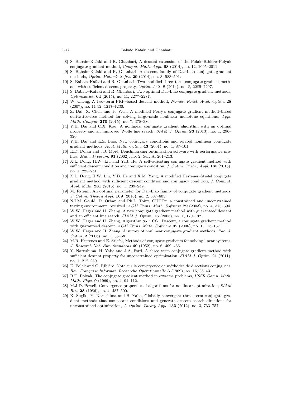- <span id="page-11-19"></span>[8] S. Babaie–Kafaki and R. Ghanbari, A descent extension of the Polak–Ribière–Polyak conjugate gradient method, *Comput. Math. Appl.* **68** (2014), no. 12, 2005–2011.
- <span id="page-11-15"></span>[9] S. Babaie–Kafaki and R. Ghanbari, A descent family of Dai–Liao conjugate gradient methods, *Optim. Methods Softw.* **29** (2014), no. 3, 583–591.
- <span id="page-11-5"></span>[10] S. Babaie–Kafaki and R. Ghanbari, Two modified three–term conjugate gradient methods with sufficient descent property, *Optim. Lett.* **8** (2014), no. 8, 2285–2297.
- <span id="page-11-16"></span>[11] S. Babaie–Kafaki and R. Ghanbari, Two optimal Dai–Liao conjugate gradient methods, *Optimization* **64** (2015), no. 11, 2277–2287.
- <span id="page-11-6"></span>[12] W. Cheng, A two–term PRP–based descent method, *Numer. Funct. Anal. Optim.* **28** (2007), no. 11-12, 1217–1230.
- <span id="page-11-0"></span>[13] Z. Dai, X. Chen and F. Wen, A modified Perry's conjugate gradient method–based derivative–free method for solving large–scale nonlinear monotone equations, *Appl. Math. Comput.* **270** (2015), no. 7, 378–386.
- <span id="page-11-7"></span>[14] Y.H. Dai and C.X. Kou, A nonlinear conjugate gradient algorithm with an optimal property and an improved Wolfe line search, *SIAM J. Optim.* **23** (2013), no. 1, 296– 320.
- <span id="page-11-13"></span>[15] Y.H. Dai and L.Z. Liao, New conjugacy conditions and related nonlinear conjugate gradient methods, *Appl. Math. Optim.* **43** (2001), no. 1, 87–101.
- <span id="page-11-21"></span>[16] E.D. Dolan and J.J. Moré, Benchmarking optimization software with performance profiles, *Math. Program.* **91** (2002), no. 2, Ser. A, 201–213.
- <span id="page-11-8"></span>[17] X.L. Dong, H.W. Liu and Y.B. He, A self–adjusting conjugate gradient method with sufficient descent condition and conjugacy condition, *J. Optim. Theory Appl.* **165** (2015), no. 1, 225–241.
- <span id="page-11-9"></span>[18] X.L. Dong, H.W. Liu, Y.B. He and X.M. Yang, A modified Hestenes–Stiefel conjugate gradient method with sufficient descent condition and conjugacy condition, *J. Comput. Appl. Math.* **281** (2015), no. 1, 239–249.
- <span id="page-11-17"></span>[19] M. Fatemi, An optimal parameter for Dai–Liao family of conjugate gradient methods, *J. Optim. Theory Appl.* **169** (2016), no. 2, 587–605.
- <span id="page-11-20"></span>[20] N.I.M. Gould, D. Orban and Ph.L. Toint, CUTEr: a constrained and unconstrained testing environment, revisited, *ACM Trans. Math. Software* **29** (2003), no. 4, 373–394.
- <span id="page-11-10"></span>[21] W.W. Hager and H. Zhang, A new conjugate gradient method with guaranteed descent and an efficient line search, *SIAM J. Optim.* **16** (2005), no. 1, 170–192.
- <span id="page-11-14"></span>[22] W.W. Hager and H. Zhang, Algorithm 851: CG*−*Descent, a conjugate gradient method with guaranteed descent, *ACM Trans. Math. Software* **32** (2006), no. 1, 113–137.
- <span id="page-11-1"></span>[23] W.W. Hager and H. Zhang, A survey of nonlinear conjugate gradient methods, *Pac. J. Optim.* **2** (2006), no. 1, 35–58.
- <span id="page-11-2"></span>[24] M.R. Hestenes and E. Stiefel, Methods of conjugate gradients for solving linear systems, *J. Research Nat. Bur. Standards* **49** (1952), no. 6, 409–436.
- <span id="page-11-12"></span>[25] Y. Narushima, H. Yabe and J.A. Ford, A three–term conjugate gradient method with sufficient descent property for unconstrained optimization, *SIAM J. Optim.* **21** (2011), no. 1, 212–230.
- <span id="page-11-3"></span>[26] E. Polak and G. Ribière, Note sur la convergence de méthodes de directions conjuguées, *Rev. Fran¸caise Informat. Recherche Op´erationnelle* **3** (1969), no. 16, 35–43.
- <span id="page-11-4"></span>[27] B.T. Polyak, The conjugate gradient method in extreme problems, *USSR Comp. Math. Math. Phys.* **9** (1969), no. 4, 94–112.
- <span id="page-11-18"></span>[28] M.J.D. Powell, Convergence properties of algorithms for nonlinear optimization, *SIAM Rev.* **28** (1986), no. 4, 487–500.
- <span id="page-11-11"></span>[29] K. Sugiki, Y. Narushima and H. Yabe, Globally convergent three–term conjugate gradient methods that use secant conditions and generate descent search directions for unconstrained optimization, *J. Optim. Theory Appl.* **153** (2012), no. 3, 733–757.